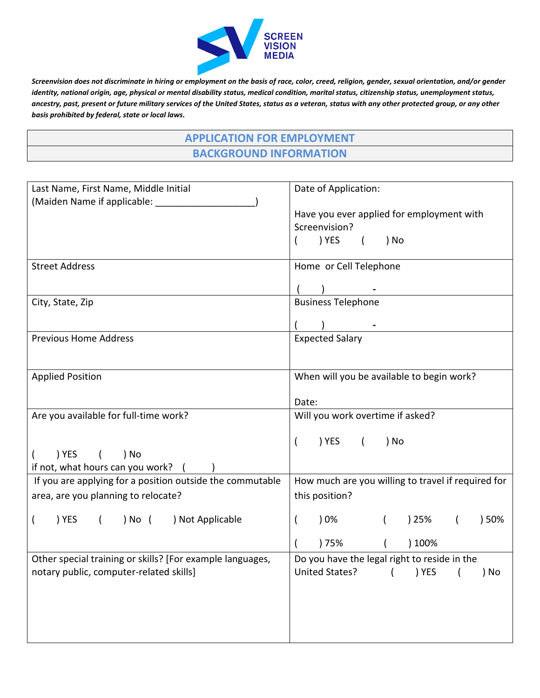

*Screenvision does not discriminate in hiring or employment on the basis of race, color, creed, religion, gender, sexual orientation, and/or gender identity, national origin, age, physical or mental disability status, medical condition, marital status, citizenship status, unemployment status, ancestry, past, present or future military services of the United States, status as a veteran, status with any other protected group, or any other basis prohibited by federal, state or local laws.*

| <b>APPLICATION FOR EMPLOYMENT</b> |
|-----------------------------------|
| <b>BACKGROUND INFORMATION</b>     |

| Last Name, First Name, Middle Initial                                                         | Date of Application:                                                                    |
|-----------------------------------------------------------------------------------------------|-----------------------------------------------------------------------------------------|
| (Maiden Name if applicable: ________                                                          | Have you ever applied for employment with<br>Screenvision?<br>) YES<br>) No<br>$\left($ |
| <b>Street Address</b>                                                                         | Home or Cell Telephone                                                                  |
|                                                                                               |                                                                                         |
| City, State, Zip                                                                              | <b>Business Telephone</b>                                                               |
|                                                                                               |                                                                                         |
| <b>Previous Home Address</b>                                                                  | <b>Expected Salary</b>                                                                  |
|                                                                                               |                                                                                         |
| <b>Applied Position</b>                                                                       | When will you be available to begin work?                                               |
|                                                                                               | Date:                                                                                   |
| Are you available for full-time work?                                                         | Will you work overtime if asked?                                                        |
|                                                                                               | ) YES (<br>) No                                                                         |
| ) YES<br>) No<br>$\left($                                                                     |                                                                                         |
| if not, what hours can you work?<br>If you are applying for a position outside the commutable | How much are you willing to travel if required for                                      |
| area, are you planning to relocate?                                                           | this position?                                                                          |
| ) YES<br>) No (<br>) Not Applicable<br>$\left($<br>$\overline{ }$                             | ) 0%<br>) 25%<br>) 50%<br>$\left($                                                      |
|                                                                                               | ) 75%<br>) 100%                                                                         |
| Other special training or skills? [For example languages,                                     | Do you have the legal right to reside in the                                            |
| notary public, computer-related skills]                                                       | United States? ( ) YES<br>) No                                                          |
|                                                                                               |                                                                                         |
|                                                                                               |                                                                                         |
|                                                                                               |                                                                                         |
|                                                                                               |                                                                                         |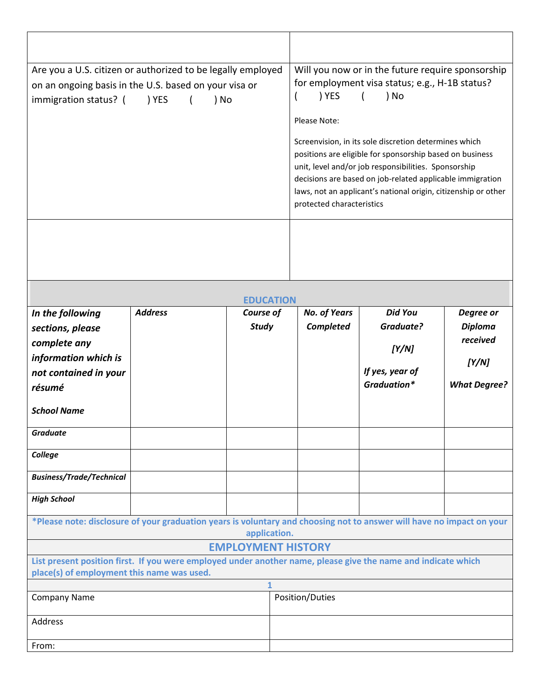| Are you a U.S. citizen or authorized to be legally employed<br>on an ongoing basis in the U.S. based on your visa or<br>immigration status? (<br>) YES<br>) No |                | Will you now or in the future require sponsorship<br>for employment visa status; e.g., H-1B status?<br>) YES<br>) No<br>Please Note:<br>Screenvision, in its sole discretion determines which<br>positions are eligible for sponsorship based on business<br>unit, level and/or job responsibilities. Sponsorship<br>decisions are based on job-related applicable immigration<br>laws, not an applicant's national origin, citizenship or other<br>protected characteristics |                     |                 |                     |
|----------------------------------------------------------------------------------------------------------------------------------------------------------------|----------------|-------------------------------------------------------------------------------------------------------------------------------------------------------------------------------------------------------------------------------------------------------------------------------------------------------------------------------------------------------------------------------------------------------------------------------------------------------------------------------|---------------------|-----------------|---------------------|
|                                                                                                                                                                |                |                                                                                                                                                                                                                                                                                                                                                                                                                                                                               |                     |                 |                     |
|                                                                                                                                                                |                | <b>EDUCATION</b>                                                                                                                                                                                                                                                                                                                                                                                                                                                              |                     |                 |                     |
| In the following                                                                                                                                               | <b>Address</b> | Course of                                                                                                                                                                                                                                                                                                                                                                                                                                                                     | <b>No. of Years</b> | <b>Did You</b>  | Degree or           |
| sections, please                                                                                                                                               |                | <b>Study</b>                                                                                                                                                                                                                                                                                                                                                                                                                                                                  | <b>Completed</b>    | Graduate?       | <b>Diploma</b>      |
| complete any                                                                                                                                                   |                |                                                                                                                                                                                                                                                                                                                                                                                                                                                                               |                     |                 | received            |
|                                                                                                                                                                |                |                                                                                                                                                                                                                                                                                                                                                                                                                                                                               |                     | [Y/N]           |                     |
|                                                                                                                                                                |                |                                                                                                                                                                                                                                                                                                                                                                                                                                                                               |                     |                 |                     |
| information which is                                                                                                                                           |                |                                                                                                                                                                                                                                                                                                                                                                                                                                                                               |                     | If yes, year of | [Y/N]               |
| not contained in your<br>résumé                                                                                                                                |                |                                                                                                                                                                                                                                                                                                                                                                                                                                                                               |                     | Graduation*     | <b>What Degree?</b> |
| <b>School Name</b>                                                                                                                                             |                |                                                                                                                                                                                                                                                                                                                                                                                                                                                                               |                     |                 |                     |
| Graduate                                                                                                                                                       |                |                                                                                                                                                                                                                                                                                                                                                                                                                                                                               |                     |                 |                     |
| College                                                                                                                                                        |                |                                                                                                                                                                                                                                                                                                                                                                                                                                                                               |                     |                 |                     |
| <b>Business/Trade/Technical</b>                                                                                                                                |                |                                                                                                                                                                                                                                                                                                                                                                                                                                                                               |                     |                 |                     |
| <b>High School</b>                                                                                                                                             |                |                                                                                                                                                                                                                                                                                                                                                                                                                                                                               |                     |                 |                     |
| *Please note: disclosure of your graduation years is voluntary and choosing not to answer will have no impact on your                                          |                | application.                                                                                                                                                                                                                                                                                                                                                                                                                                                                  |                     |                 |                     |
|                                                                                                                                                                |                | <b>EMPLOYMENT HISTORY</b>                                                                                                                                                                                                                                                                                                                                                                                                                                                     |                     |                 |                     |
| List present position first. If you were employed under another name, please give the name and indicate which                                                  |                |                                                                                                                                                                                                                                                                                                                                                                                                                                                                               |                     |                 |                     |
| place(s) of employment this name was used.                                                                                                                     |                | $\mathbf{1}$                                                                                                                                                                                                                                                                                                                                                                                                                                                                  |                     |                 |                     |
| <b>Company Name</b>                                                                                                                                            |                |                                                                                                                                                                                                                                                                                                                                                                                                                                                                               | Position/Duties     |                 |                     |
| Address                                                                                                                                                        |                |                                                                                                                                                                                                                                                                                                                                                                                                                                                                               |                     |                 |                     |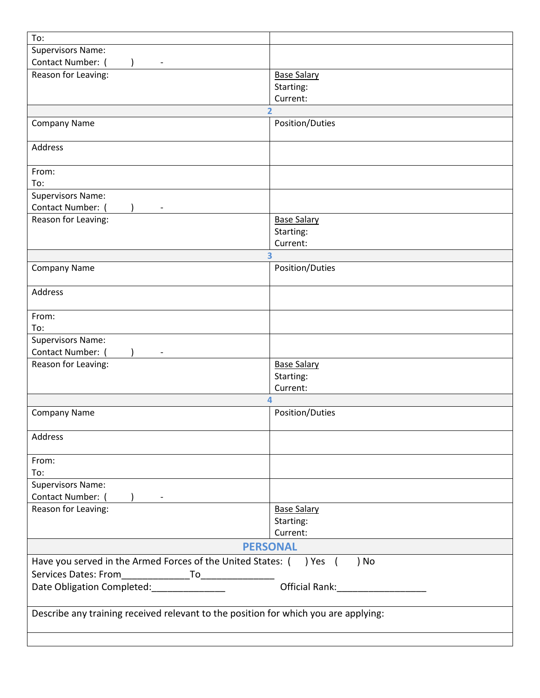| To:                                                                                 |                         |
|-------------------------------------------------------------------------------------|-------------------------|
|                                                                                     |                         |
| <b>Supervisors Name:</b>                                                            |                         |
| Contact Number:                                                                     |                         |
| Reason for Leaving:                                                                 | <b>Base Salary</b>      |
|                                                                                     | Starting:               |
|                                                                                     | Current:                |
|                                                                                     |                         |
| <b>Company Name</b>                                                                 | Position/Duties         |
| Address                                                                             |                         |
| From:                                                                               |                         |
| To:                                                                                 |                         |
| <b>Supervisors Name:</b>                                                            |                         |
| Contact Number: (                                                                   |                         |
| Reason for Leaving:                                                                 | <b>Base Salary</b>      |
|                                                                                     |                         |
|                                                                                     | Starting:               |
|                                                                                     | Current:                |
|                                                                                     | $\overline{\mathbf{3}}$ |
| <b>Company Name</b>                                                                 | Position/Duties         |
| Address                                                                             |                         |
| From:                                                                               |                         |
| To:                                                                                 |                         |
| <b>Supervisors Name:</b>                                                            |                         |
| Contact Number:                                                                     |                         |
|                                                                                     |                         |
| Reason for Leaving:                                                                 | <b>Base Salary</b>      |
|                                                                                     | Starting:               |
|                                                                                     | Current:                |
|                                                                                     | 4                       |
| <b>Company Name</b>                                                                 | Position/Duties         |
| Address                                                                             |                         |
|                                                                                     |                         |
| From:                                                                               |                         |
| To:                                                                                 |                         |
| <b>Supervisors Name:</b>                                                            |                         |
| Contact Number: (                                                                   |                         |
| $\left( \begin{array}{ccc} \end{array} \right)$ -                                   |                         |
| Reason for Leaving:                                                                 | <b>Base Salary</b>      |
|                                                                                     | Starting:               |
|                                                                                     | Current:                |
|                                                                                     | <b>PERSONAL</b>         |
| Have you served in the Armed Forces of the United States: ( ) Yes ( ) No            |                         |
|                                                                                     |                         |
|                                                                                     |                         |
| Date Obligation Completed: _______________                                          |                         |
| Describe any training received relevant to the position for which you are applying: |                         |
|                                                                                     |                         |
|                                                                                     |                         |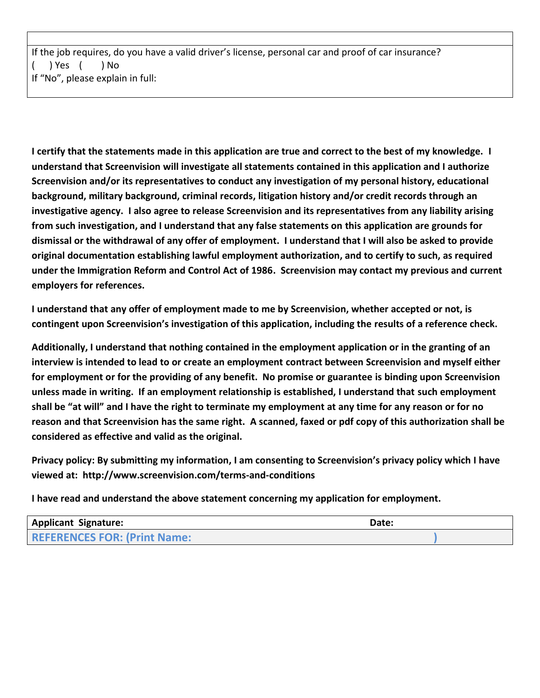If the job requires, do you have a valid driver's license, personal car and proof of car insurance? ( ) Yes ( ) No If "No", please explain in full:

**I certify that the statements made in this application are true and correct to the best of my knowledge. I understand that Screenvision will investigate all statements contained in this application and I authorize Screenvision and/or its representatives to conduct any investigation of my personal history, educational background, military background, criminal records, litigation history and/or credit records through an investigative agency. I also agree to release Screenvision and its representatives from any liability arising from such investigation, and I understand that any false statements on this application are grounds for dismissal or the withdrawal of any offer of employment. I understand that I will also be asked to provide original documentation establishing lawful employment authorization, and to certify to such, as required under the Immigration Reform and Control Act of 1986. Screenvision may contact my previous and current employers for references.**

**I understand that any offer of employment made to me by Screenvision, whether accepted or not, is contingent upon Screenvision's investigation of this application, including the results of a reference check.**

**Additionally, I understand that nothing contained in the employment application or in the granting of an interview is intended to lead to or create an employment contract between Screenvision and myself either for employment or for the providing of any benefit. No promise or guarantee is binding upon Screenvision unless made in writing. If an employment relationship is established, I understand that such employment shall be "at will" and I have the right to terminate my employment at any time for any reason or for no reason and that Screenvision has the same right. A scanned, faxed or pdf copy of this authorization shall be considered as effective and valid as the original.**

**Privacy policy: By submitting my information, I am consenting to Screenvision's privacy policy which I have viewed at: http://www.screenvision.com/terms-and-conditions**

**I have read and understand the above statement concerning my application for employment.**

| <b>Applicant Signature:</b>         | Date: |
|-------------------------------------|-------|
| <b>REFERENCES FOR: (Print Name:</b> |       |